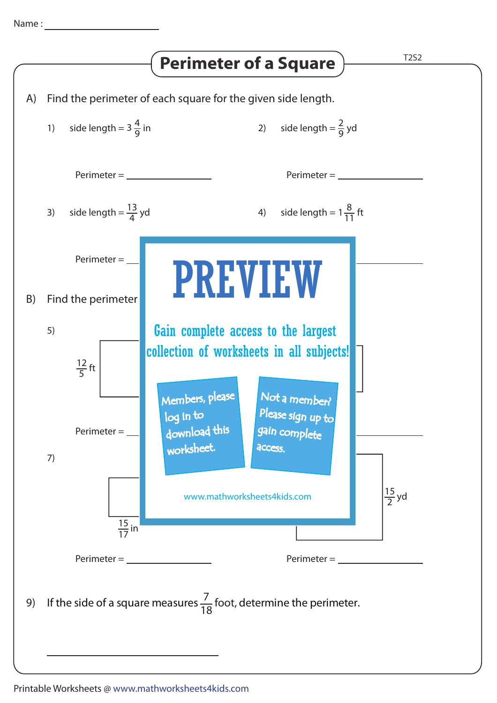